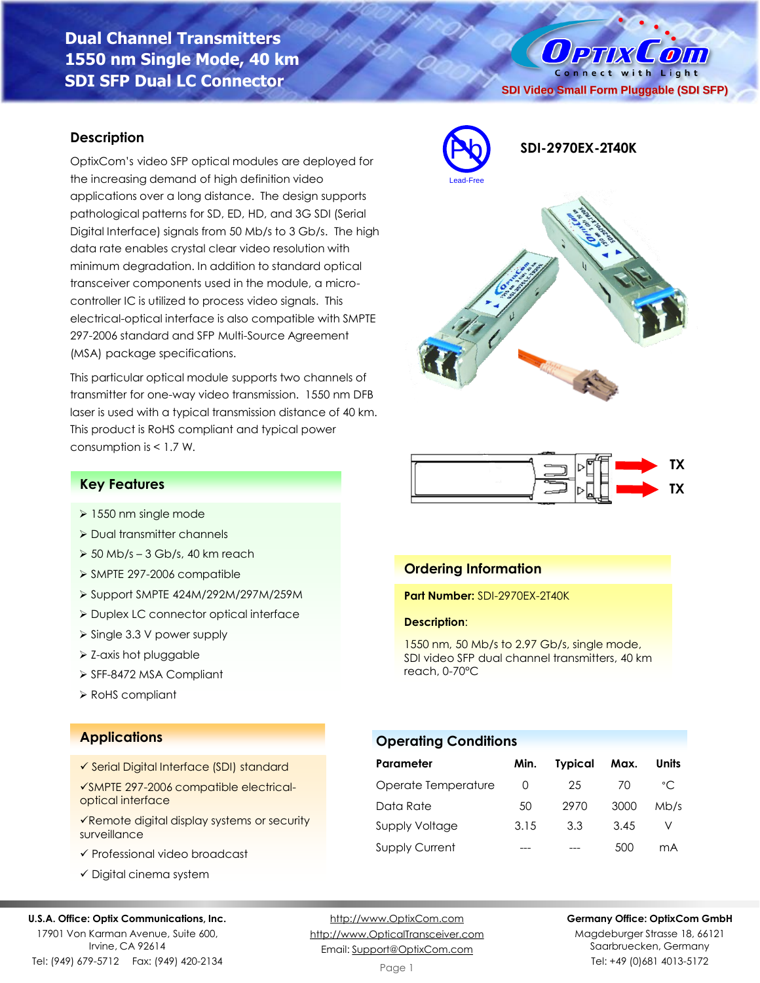# **Dual Channel Transmitters 1550 nm Single Mode, 40 km SDI SFP Dual LC Connector**

## **Description**

OptixCom's video SFP optical modules are deployed for the increasing demand of high definition video applications over a long distance. The design supports pathological patterns for SD, ED, HD, and 3G SDI (Serial Digital Interface) signals from 50 Mb/s to 3 Gb/s. The high data rate enables crystal clear video resolution with minimum degradation. In addition to standard optical transceiver components used in the module, a microcontroller IC is utilized to process video signals. This electrical-optical interface is also compatible with SMPTE 297-2006 standard and SFP Multi-Source Agreement (MSA) package specifications.

This particular optical module supports two channels of transmitter for one-way video transmission. 1550 nm DFB laser is used with a typical transmission distance of 40 km. This product is RoHS compliant and typical power consumption is < 1.7 W.

# Pb **SDI-2970EX-2T40K** Lead-Free



## **Key Features**

- ➢ 1550 nm single mode
- ➢ Dual transmitter channels
- $>$  50 Mb/s 3 Gb/s, 40 km reach
- ➢ SMPTE 297-2006 compatible
- ➢ Support SMPTE 424M/292M/297M/259M
- ➢ Duplex LC connector optical interface
- ➢ Single 3.3 V power supply
- ➢ Z-axis hot pluggable
- ➢ SFF-8472 MSA Compliant
- ➢ RoHS compliant

## **Applications**

- ✓ Serial Digital Interface (SDI) standard
- ✓SMPTE 297-2006 compatible electricaloptical interface
- ✓Remote digital display systems or security surveillance
- ✓ Professional video broadcast
- ✓ Digital cinema system

### **U.S.A. Office: Optix Communications, Inc.**

17901 Von Karman Avenue, Suite 600, Irvine, CA 92614 Tel: (949) 679-5712 Fax: (949) 420-2134

[http://www.OptixCom.com](http://www.optixcom.com/) [http://www.OpticalTransceiver.com](http://www.optoictech.com/) Email: [Support@OptixCom.com](mailto:Support@optoICtech.com)

## **Germany Office: OptixCom GmbH**

Magdeburger Strasse 18, 66121 Saarbruecken, Germany Tel: +49 (0)681 4013-5172

**Operating Conditions**

**Description**:

reach, 0-70°C

**Ordering Information**

**Part Number:** SDI-2970EX-2T40K

| Parameter             | Min. | <b>Typical</b> | Max. | Units          |
|-----------------------|------|----------------|------|----------------|
| Operate Temperature   | Ω    | 25             | 70   | $^{\circ}$ C   |
| Data Rate             | 50   | 2970           | 3000 | Mb/s           |
| Supply Voltage        | 3.15 | 3.3            | 3.45 |                |
| <b>Supply Current</b> |      |                | 500  | m <sub>A</sub> |

1550 nm, 50 Mb/s to 2.97 Gb/s, single mode, SDI video SFP dual channel transmitters, 40 km

 $0$  PTIX  $\overline{O}$ Connect with Light **SDI Video Small Form Pluggable (SDI SFP)**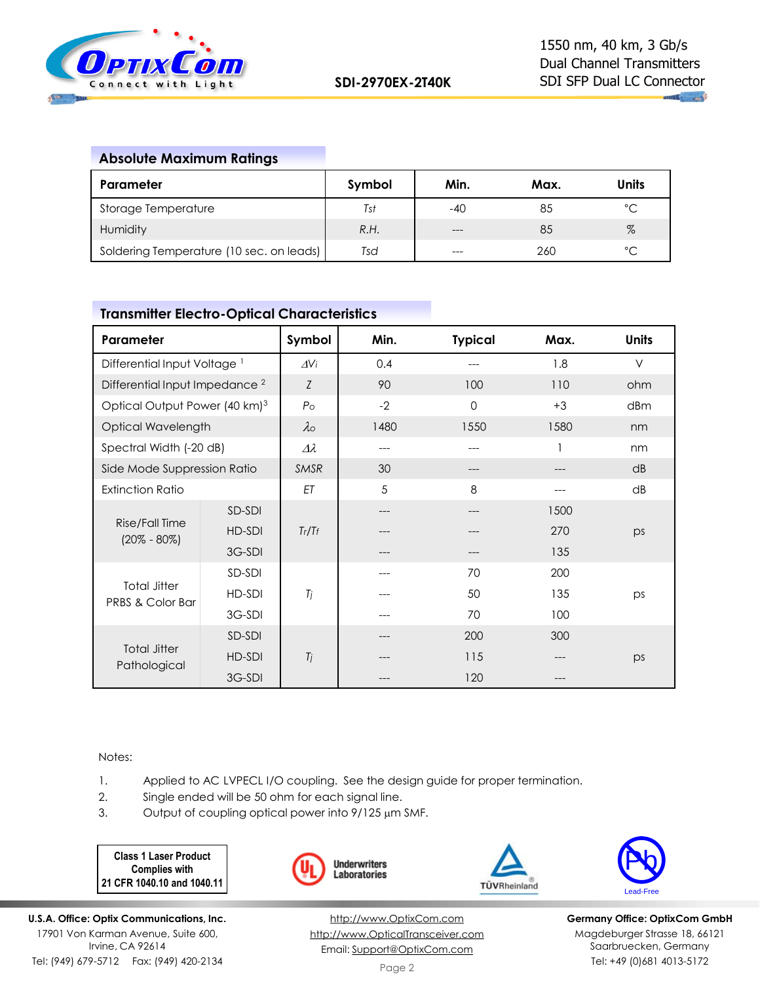

## **Absolute Maximum Ratings**

| Parameter                                | Symbol | Min.  | Max. | Units        |
|------------------------------------------|--------|-------|------|--------------|
| Storage Temperature                      | Tst    | -40   | 85   | $^{\circ}$ C |
| Humidity                                 | R.H.   | $---$ | 85   | $\%$         |
| Soldering Temperature (10 sec. on leads) | Tsd    | $---$ | 260  | $\hat{C}$    |

## **Transmitter Electro-Optical Characteristics**

| Parameter                                 |        | Symbol             | Min. | <b>Typical</b> | Max. | <b>Units</b> |
|-------------------------------------------|--------|--------------------|------|----------------|------|--------------|
| Differential Input Voltage <sup>1</sup>   |        | $\Delta V$ i       | 0.4  |                | 1.8  | $\vee$       |
| Differential Input Impedance <sup>2</sup> |        | Z                  | 90   | 100            | 110  | ohm          |
| Optical Output Power (40 km) <sup>3</sup> |        | P <sub>O</sub>     | $-2$ | $\Omega$       | $+3$ | dBm          |
| Optical Wavelength                        |        | $\lambda$          | 1480 | 1550           | 1580 | nm           |
| Spectral Width (-20 dB)                   |        | $\varDelta\lambda$ | ---  |                |      | nm           |
| Side Mode Suppression Ratio               |        | <b>SMSR</b>        | 30   |                |      | dB           |
| <b>Extinction Ratio</b>                   |        | ET                 | 5    | 8              |      | dB           |
| Rise/Fall Time<br>$(20\% - 80\%)$         | SD-SDI |                    | ---  |                | 1500 |              |
|                                           | HD-SDI | Tr/Tf              |      |                | 270  | ps           |
|                                           | 3G-SDI |                    |      |                | 135  |              |
| <b>Total Jitter</b><br>PRBS & Color Bar   | SD-SDI |                    |      | 70             | 200  |              |
|                                           | HD-SDI | Tj                 |      | 50             | 135  | ps           |
|                                           | 3G-SDI |                    |      | 70             | 100  |              |
| <b>Total Jitter</b><br>Pathological       | SD-SDI |                    |      | 200            | 300  |              |
|                                           | HD-SDI | Ti                 |      | 115            |      | ps           |
|                                           | 3G-SDI |                    |      | 120            |      |              |

Notes:

- 1. Applied to AC LVPECL I/O coupling. See the design guide for proper termination.
- 2. Single ended will be 50 ohm for each signal line.
- 3. Output of coupling optical power into  $9/125 \mu m$  SMF.

**Class 1 Laser Product Complies with 21 CFR 1040.10 and 1040.11**







**Germany Office: OptixCom GmbH** Magdeburger Strasse 18, 66121 Saarbruecken, Germany Tel: +49 (0)681 4013-5172

**U.S.A. Office: Optix Communications, Inc.** 17901 Von Karman Avenue, Suite 600, Irvine, CA 92614 Tel: (949) 679-5712 Fax: (949) 420-2134

[http://www.OptixCom.com](http://www.optixcom.com/) [http://www.OpticalTransceiver.com](http://www.optoictech.com/) Email: [Support@OptixCom.com](mailto:Support@optoICtech.com)